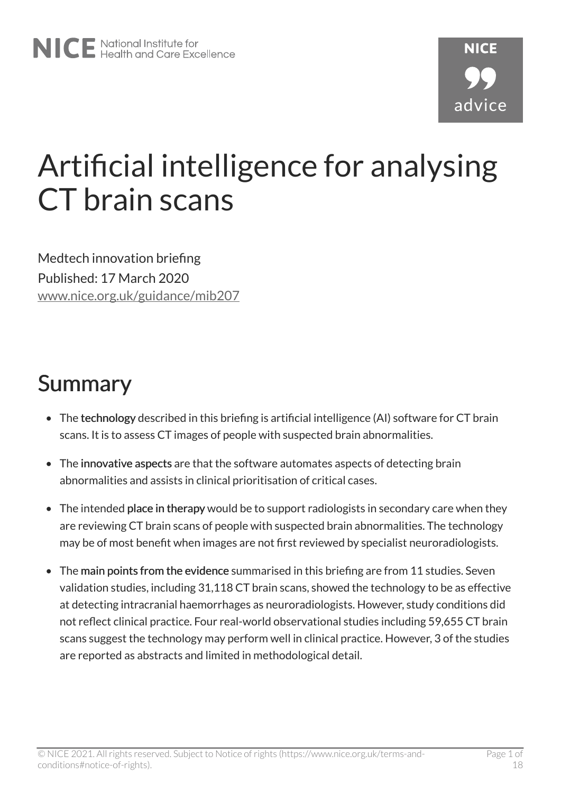# Artificial intelligence for analysing CT brain scans

Medtech innovation briefing Published: 17 March 2020 [www.nice.org.uk/guidance/mib207](https://www.nice.org.uk/guidance/mib207)

## Summary

- The technology described in this briefing is artificial intelligence (AI) software for CT brain scans. It is to assess CT images of people with suspected brain abnormalities.
- The innovative aspects are that the software automates aspects of detecting brain abnormalities and assists in clinical prioritisation of critical cases.
- The intended place in therapy would be to support radiologists in secondary care when they are reviewing CT brain scans of people with suspected brain abnormalities. The technology may be of most benefit when images are not first reviewed by specialist neuroradiologists.
- The main points from the evidence summarised in this briefing are from 11 studies. Seven validation studies, including 31,118 CT brain scans, showed the technology to be as effective at detecting intracranial haemorrhages as neuroradiologists. However, study conditions did not reflect clinical practice. Four real-world observational studies including 59,655 CT brain scans suggest the technology may perform well in clinical practice. However, 3 of the studies are reported as abstracts and limited in methodological detail.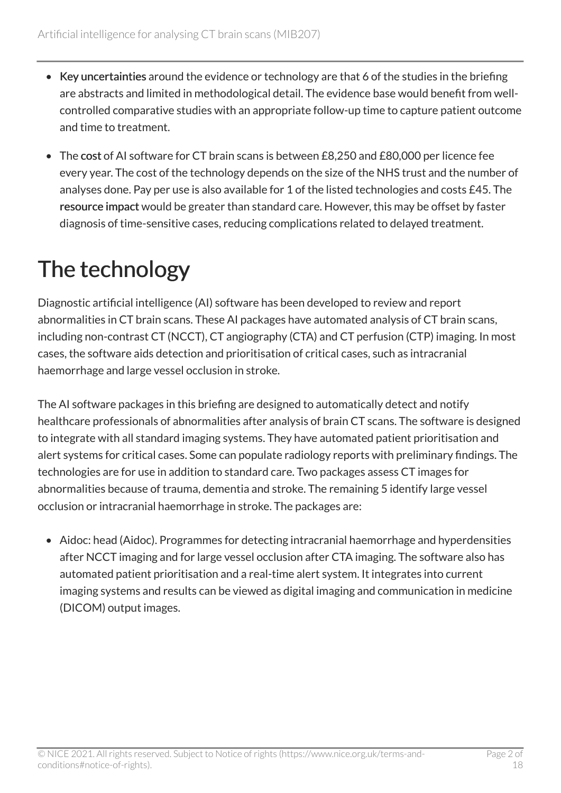- Key uncertainties around the evidence or technology are that 6 of the studies in the briefing are abstracts and limited in methodological detail. The evidence base would benefit from wellcontrolled comparative studies with an appropriate follow-up time to capture patient outcome and time to treatment.
- The cost of AI software for CT brain scans is between £8,250 and £80,000 per licence fee every year. The cost of the technology depends on the size of the NHS trust and the number of analyses done. Pay per use is also available for 1 of the listed technologies and costs £45. The resource impact would be greater than standard care. However, this may be offset by faster diagnosis of time-sensitive cases, reducing complications related to delayed treatment.

## The technology

Diagnostic artificial intelligence (AI) software has been developed to review and report abnormalities in CT brain scans. These AI packages have automated analysis of CT brain scans, including non-contrast CT (NCCT), CT angiography (CTA) and CT perfusion (CTP) imaging. In most cases, the software aids detection and prioritisation of critical cases, such as intracranial haemorrhage and large vessel occlusion in stroke.

The AI software packages in this briefing are designed to automatically detect and notify healthcare professionals of abnormalities after analysis of brain CT scans. The software is designed to integrate with all standard imaging systems. They have automated patient prioritisation and alert systems for critical cases. Some can populate radiology reports with preliminary findings. The technologies are for use in addition to standard care. Two packages assess CT images for abnormalities because of trauma, dementia and stroke. The remaining 5 identify large vessel occlusion or intracranial haemorrhage in stroke. The packages are:

• Aidoc: head (Aidoc). Programmes for detecting intracranial haemorrhage and hyperdensities after NCCT imaging and for large vessel occlusion after CTA imaging. The software also has automated patient prioritisation and a real-time alert system. It integrates into current imaging systems and results can be viewed as digital imaging and communication in medicine (DICOM) output images.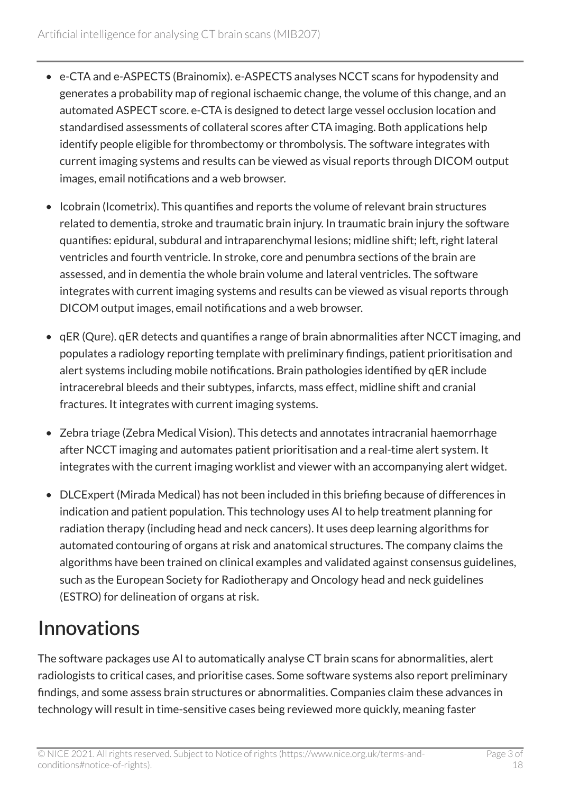- e-CTA and e-ASPECTS (Brainomix). e-ASPECTS analyses NCCT scans for hypodensity and generates a probability map of regional ischaemic change, the volume of this change, and an automated ASPECT score. e-CTA is designed to detect large vessel occlusion location and standardised assessments of collateral scores after CTA imaging. Both applications help identify people eligible for thrombectomy or thrombolysis. The software integrates with current imaging systems and results can be viewed as visual reports through DICOM output images, email notifications and a web browser.
- Icobrain (Icometrix). This quantifies and reports the volume of relevant brain structures related to dementia, stroke and traumatic brain injury. In traumatic brain injury the software quantifies: epidural, subdural and intraparenchymal lesions; midline shift; left, right lateral ventricles and fourth ventricle. In stroke, core and penumbra sections of the brain are assessed, and in dementia the whole brain volume and lateral ventricles. The software integrates with current imaging systems and results can be viewed as visual reports through DICOM output images, email notifications and a web browser.
- qER (Qure). qER detects and quantifies a range of brain abnormalities after NCCT imaging, and populates a radiology reporting template with preliminary findings, patient prioritisation and alert systems including mobile notifications. Brain pathologies identified by qER include intracerebral bleeds and their subtypes, infarcts, mass effect, midline shift and cranial fractures. It integrates with current imaging systems.
- Zebra triage (Zebra Medical Vision). This detects and annotates intracranial haemorrhage after NCCT imaging and automates patient prioritisation and a real-time alert system. It integrates with the current imaging worklist and viewer with an accompanying alert widget.
- DLCExpert (Mirada Medical) has not been included in this briefing because of differences in indication and patient population. This technology uses AI to help treatment planning for radiation therapy (including head and neck cancers). It uses deep learning algorithms for automated contouring of organs at risk and anatomical structures. The company claims the algorithms have been trained on clinical examples and validated against consensus guidelines, such as the European Society for Radiotherapy and Oncology head and neck guidelines (ESTRO) for delineation of organs at risk.

## Innovations

The software packages use AI to automatically analyse CT brain scans for abnormalities, alert radiologists to critical cases, and prioritise cases. Some software systems also report preliminary findings, and some assess brain structures or abnormalities. Companies claim these advances in technology will result in time-sensitive cases being reviewed more quickly, meaning faster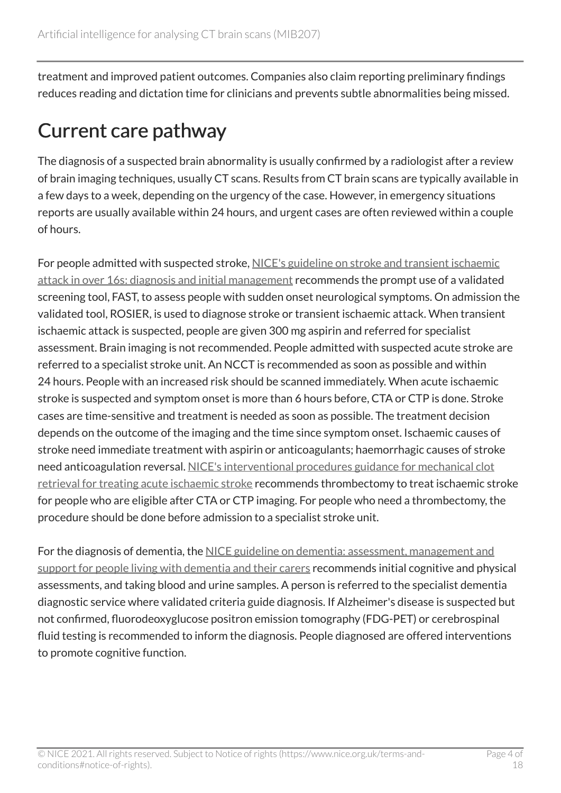treatment and improved patient outcomes. Companies also claim reporting preliminary findings reduces reading and dictation time for clinicians and prevents subtle abnormalities being missed.

## Current care pathway

The diagnosis of a suspected brain abnormality is usually confirmed by a radiologist after a review of brain imaging techniques, usually CT scans. Results from CT brain scans are typically available in a few days to a week, depending on the urgency of the case. However, in emergency situations reports are usually available within 24 hours, and urgent cases are often reviewed within a couple of hours.

For people admitted with suspected stroke, [NICE's guideline on stroke and transient ischaemic](https://www.nice.org.uk/guidance/ng128) [attack in over 16s: diagnosis and initial management](https://www.nice.org.uk/guidance/ng128) recommends the prompt use of a validated screening tool, FAST, to assess people with sudden onset neurological symptoms. On admission the validated tool, ROSIER, is used to diagnose stroke or transient ischaemic attack. When transient ischaemic attack is suspected, people are given 300 mg aspirin and referred for specialist assessment. Brain imaging is not recommended. People admitted with suspected acute stroke are referred to a specialist stroke unit. An NCCT is recommended as soon as possible and within 24 hours. People with an increased risk should be scanned immediately. When acute ischaemic stroke is suspected and symptom onset is more than 6 hours before, CTA or CTP is done. Stroke cases are time-sensitive and treatment is needed as soon as possible. The treatment decision depends on the outcome of the imaging and the time since symptom onset. Ischaemic causes of stroke need immediate treatment with aspirin or anticoagulants; haemorrhagic causes of stroke need anticoagulation reversal. [NICE's interventional procedures guidance for mechanical clot](https://www.nice.org.uk/guidance/ipg548)  [retrieval for treating acute ischaemic stroke](https://www.nice.org.uk/guidance/ipg548) recommends thrombectomy to treat ischaemic stroke for people who are eligible after CTA or CTP imaging. For people who need a thrombectomy, the procedure should be done before admission to a specialist stroke unit.

For the diagnosis of dementia, the NICE guideline on dementia: assessment, management and [support for people living with dementia and their carers](https://www.nice.org.uk/guidance/ng97) recommends initial cognitive and physical assessments, and taking blood and urine samples. A person is referred to the specialist dementia diagnostic service where validated criteria guide diagnosis. If Alzheimer's disease is suspected but not confirmed, fluorodeoxyglucose positron emission tomography (FDG-PET) or cerebrospinal fluid testing is recommended to inform the diagnosis. People diagnosed are offered interventions to promote cognitive function.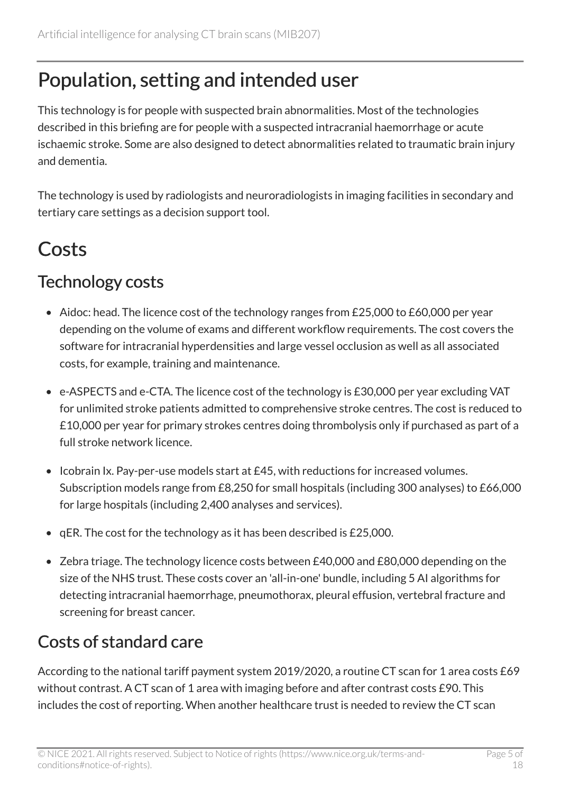## Population, setting and intended user

This technology is for people with suspected brain abnormalities. Most of the technologies described in this briefing are for people with a suspected intracranial haemorrhage or acute ischaemic stroke. Some are also designed to detect abnormalities related to traumatic brain injury and dementia.

The technology is used by radiologists and neuroradiologists in imaging facilities in secondary and tertiary care settings as a decision support tool.

## Costs

### Technology costs

- Aidoc: head. The licence cost of the technology ranges from £25,000 to £60,000 per year depending on the volume of exams and different workflow requirements. The cost covers the software for intracranial hyperdensities and large vessel occlusion as well as all associated costs, for example, training and maintenance.
- e-ASPECTS and e-CTA. The licence cost of the technology is £30,000 per year excluding VAT for unlimited stroke patients admitted to comprehensive stroke centres. The cost is reduced to £10,000 per year for primary strokes centres doing thrombolysis only if purchased as part of a full stroke network licence.
- Icobrain Ix. Pay-per-use models start at £45, with reductions for increased volumes. Subscription models range from £8,250 for small hospitals (including 300 analyses) to £66,000 for large hospitals (including 2,400 analyses and services).
- qER. The cost for the technology as it has been described is £25,000.
- Zebra triage. The technology licence costs between £40,000 and £80,000 depending on the size of the NHS trust. These costs cover an 'all-in-one' bundle, including 5 AI algorithms for detecting intracranial haemorrhage, pneumothorax, pleural effusion, vertebral fracture and screening for breast cancer.

### Costs of standard care

According to the national tariff payment system 2019/2020, a routine CT scan for 1 area costs £69 without contrast. A CT scan of 1 area with imaging before and after contrast costs £90. This includes the cost of reporting. When another healthcare trust is needed to review the CT scan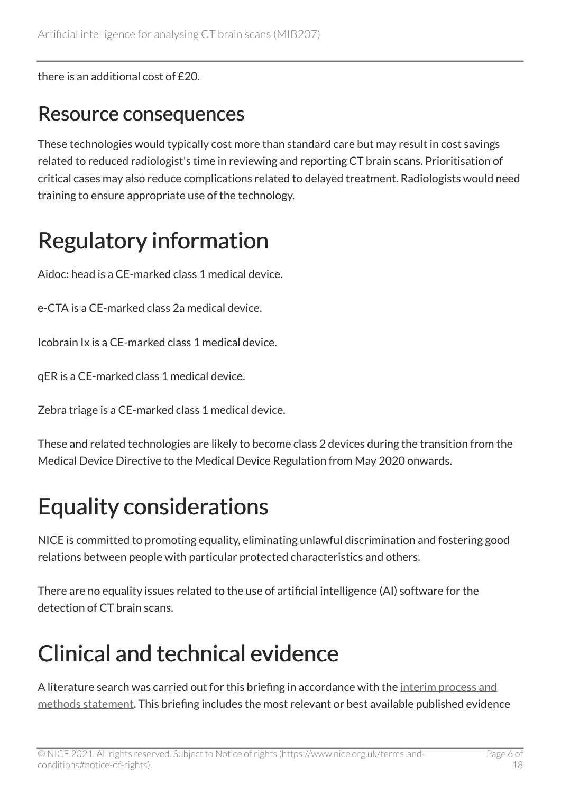there is an additional cost of £20.

### Resource consequences

These technologies would typically cost more than standard care but may result in cost savings related to reduced radiologist's time in reviewing and reporting CT brain scans. Prioritisation of critical cases may also reduce complications related to delayed treatment. Radiologists would need training to ensure appropriate use of the technology.

## Regulatory information

Aidoc: head is a CE-marked class 1 medical device.

e-CTA is a CE-marked class 2a medical device.

Icobrain Ix is a CE-marked class 1 medical device.

qER is a CE-marked class 1 medical device.

Zebra triage is a CE-marked class 1 medical device.

These and related technologies are likely to become class 2 devices during the transition from the Medical Device Directive to the Medical Device Regulation from May 2020 onwards.

## Equality considerations

NICE is committed to promoting equality, eliminating unlawful discrimination and fostering good relations between people with particular protected characteristics and others.

There are no equality issues related to the use of artificial intelligence (AI) software for the detection of CT brain scans.

## Clinical and technical evidence

A literature search was carried out for this briefing in accordance with the interim process and [methods statement](https://www.nice.org.uk/about/what-we-do/our-programmes/nice-advice/medtech-innovation-briefings). This briefing includes the most relevant or best available published evidence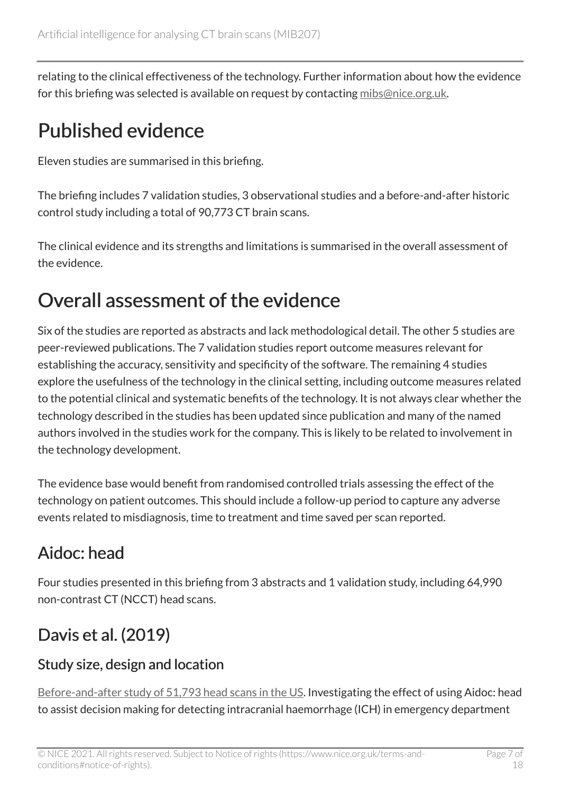relating to the clinical effectiveness of the technology. Further information about how the evidence for this briefing was selected is available on request by contacting [mibs@nice.org.uk](mailto:mibs@nice.org.uk).

## Published evidence

Eleven studies are summarised in this briefing.

The briefing includes 7 validation studies, 3 observational studies and a before-and-after historic control study including a total of 90,773 CT brain scans.

The clinical evidence and its strengths and limitations is summarised in the overall assessment of the evidence.

## Overall assessment of the evidence

Six of the studies are reported as abstracts and lack methodological detail. The other 5 studies are peer-reviewed publications. The 7 validation studies report outcome measures relevant for establishing the accuracy, sensitivity and specificity of the software. The remaining 4 studies explore the usefulness of the technology in the clinical setting, including outcome measures related to the potential clinical and systematic benefits of the technology. It is not always clear whether the technology described in the studies has been updated since publication and many of the named authors involved in the studies work for the company. This is likely to be related to involvement in the technology development.

The evidence base would benefit from randomised controlled trials assessing the effect of the technology on patient outcomes. This should include a follow-up period to capture any adverse events related to misdiagnosis, time to treatment and time saved per scan reported.

### Aidoc: head

Four studies presented in this briefing from 3 abstracts and 1 validation study, including 64,990 non-contrast CT (NCCT) head scans.

## Davis et al. (2019)

#### Study size, design and location

[Before-and-after study of 51,793 head scans in the US](http://archive.rsna.org/2019/19005802.html). Investigating the effect of using Aidoc: head to assist decision making for detecting intracranial haemorrhage (ICH) in emergency department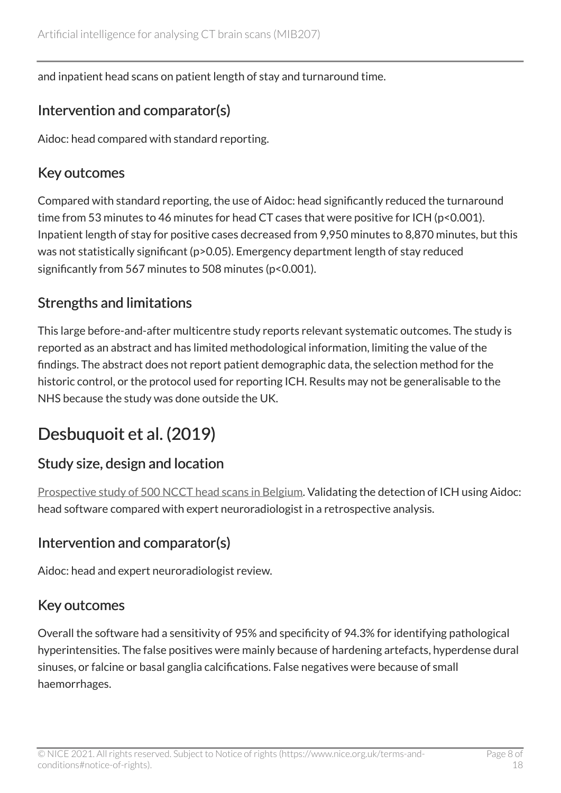and inpatient head scans on patient length of stay and turnaround time.

#### Intervention and comparator(s)

Aidoc: head compared with standard reporting.

#### Key outcomes

Compared with standard reporting, the use of Aidoc: head significantly reduced the turnaround time from 53 minutes to 46 minutes for head CT cases that were positive for ICH (p<0.001). Inpatient length of stay for positive cases decreased from 9,950 minutes to 8,870 minutes, but this was not statistically significant (p>0.05). Emergency department length of stay reduced significantly from 567 minutes to 508 minutes (p<0.001).

#### Strengths and limitations

This large before-and-after multicentre study reports relevant systematic outcomes. The study is reported as an abstract and has limited methodological information, limiting the value of the findings. The abstract does not report patient demographic data, the selection method for the historic control, or the protocol used for reporting ICH. Results may not be generalisable to the NHS because the study was done outside the UK.

### Desbuquoit et al. (2019)

#### Study size, design and location

[Prospective study of 500 NCCT head scans in Belgium](https://www.aidoc.com/blog/clinical_study/detection-of-intracranial-haemorrhage-on-ct-of-the-brain-using-a-deep-learning-algorithm/). Validating the detection of ICH using Aidoc: head software compared with expert neuroradiologist in a retrospective analysis.

#### Intervention and comparator(s)

Aidoc: head and expert neuroradiologist review.

#### Key outcomes

Overall the software had a sensitivity of 95% and specificity of 94.3% for identifying pathological hyperintensities. The false positives were mainly because of hardening artefacts, hyperdense dural sinuses, or falcine or basal ganglia calcifications. False negatives were because of small haemorrhages.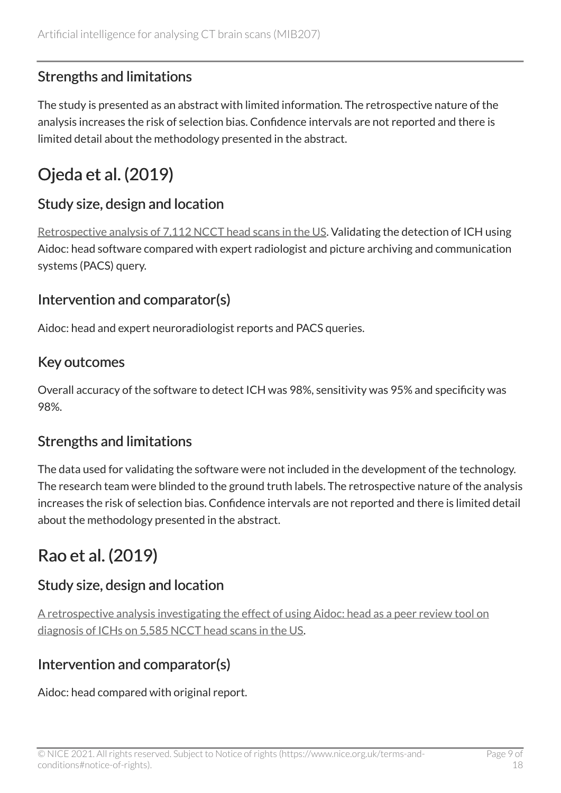#### Strengths and limitations

The study is presented as an abstract with limited information. The retrospective nature of the analysis increases the risk of selection bias. Confidence intervals are not reported and there is limited detail about the methodology presented in the abstract.

### Ojeda et al. (2019)

#### Study size, design and location

[Retrospective analysis of 7,112 NCCT head scans in the US](https://www.spiedigitallibrary.org/conference-proceedings-of-spie/10949/109493J/The-utility-of-deep-learning--evaluation-of-a-convolutional/10.1117/12.2513167.short?SSO=1). Validating the detection of ICH using Aidoc: head software compared with expert radiologist and picture archiving and communication systems (PACS) query.

#### Intervention and comparator(s)

Aidoc: head and expert neuroradiologist reports and PACS queries.

#### Key outcomes

Overall accuracy of the software to detect ICH was 98%, sensitivity was 95% and specificity was 98%.

#### Strengths and limitations

The data used for validating the software were not included in the development of the technology. The research team were blinded to the ground truth labels. The retrospective nature of the analysis increases the risk of selection bias. Confidence intervals are not reported and there is limited detail about the methodology presented in the abstract.

### Rao et al. (2019)

#### Study size, design and location

[A retrospective analysis investigating the effect of using Aidoc: head as a peer review tool on](http://archive.rsna.org/2019/19015195.html) [diagnosis of ICHs on 5,585 NCCT head scans in the US](http://archive.rsna.org/2019/19015195.html).

#### Intervention and comparator(s)

Aidoc: head compared with original report.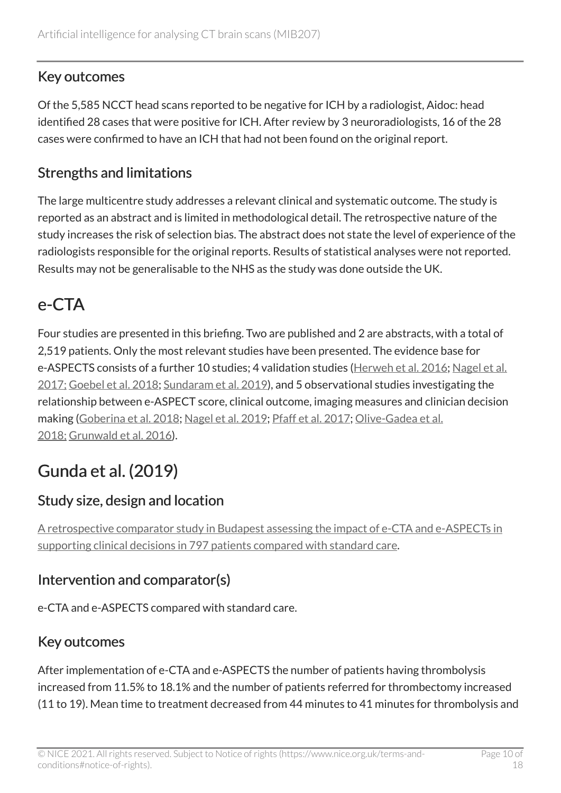#### Key outcomes

Of the 5,585 NCCT head scans reported to be negative for ICH by a radiologist, Aidoc: head identified 28 cases that were positive for ICH. After review by 3 neuroradiologists, 16 of the 28 cases were confirmed to have an ICH that had not been found on the original report.

#### Strengths and limitations

The large multicentre study addresses a relevant clinical and systematic outcome. The study is reported as an abstract and is limited in methodological detail. The retrospective nature of the study increases the risk of selection bias. The abstract does not state the level of experience of the radiologists responsible for the original reports. Results of statistical analyses were not reported. Results may not be generalisable to the NHS as the study was done outside the UK.

### e-CTA

Four studies are presented in this briefing. Two are published and 2 are abstracts, with a total of 2,519 patients. Only the most relevant studies have been presented. The evidence base for e-ASPECTS consists of a further 10 studies; 4 validation studies [\(Herweh et al. 2016;](https://www.ncbi.nlm.nih.gov/pubmed/26880058) [Nagel et al.](https://www.ncbi.nlm.nih.gov/pubmed/27899743) [2017;](https://www.ncbi.nlm.nih.gov/pubmed/27899743) [Goebel et al. 2018](https://www.ncbi.nlm.nih.gov/pubmed/30219935); [Sundaram et al. 2019\)](http://www.ajnr.org/content/early/2019/11/14/ajnr.A6303), and 5 observational studies investigating the relationship between e-ASPECT score, clinical outcome, imaging measures and clinician decision making [\(Goberina et al. 2018](https://www.ncbi.nlm.nih.gov/pubmed/30066278); [Nagel et al. 2019;](https://www.ncbi.nlm.nih.gov/pubmed/31570065) [Pfaff et al. 2017;](https://www.ncbi.nlm.nih.gov/pubmed/28596195) [Olive-Gadea et al.](https://www.ncbi.nlm.nih.gov/pubmed/30230093) [2018;](https://www.ncbi.nlm.nih.gov/pubmed/30230093) [Grunwald et al. 2016](https://www.ncbi.nlm.nih.gov/pubmed/27304197)).

### Gunda et al. (2019)

#### Study size, design and location

[A retrospective comparator study in Budapest assessing the impact of e-CTA and e-ASPECTs in](https://neuronewsinternational.com/brainomix-ai-stroke-treatment-data/) [supporting clinical decisions in 797 patients compared with standard care.](https://neuronewsinternational.com/brainomix-ai-stroke-treatment-data/)

#### Intervention and comparator(s)

e-CTA and e-ASPECTS compared with standard care.

#### Key outcomes

After implementation of e-CTA and e-ASPECTS the number of patients having thrombolysis increased from 11.5% to 18.1% and the number of patients referred for thrombectomy increased (11 to 19). Mean time to treatment decreased from 44 minutes to 41 minutes for thrombolysis and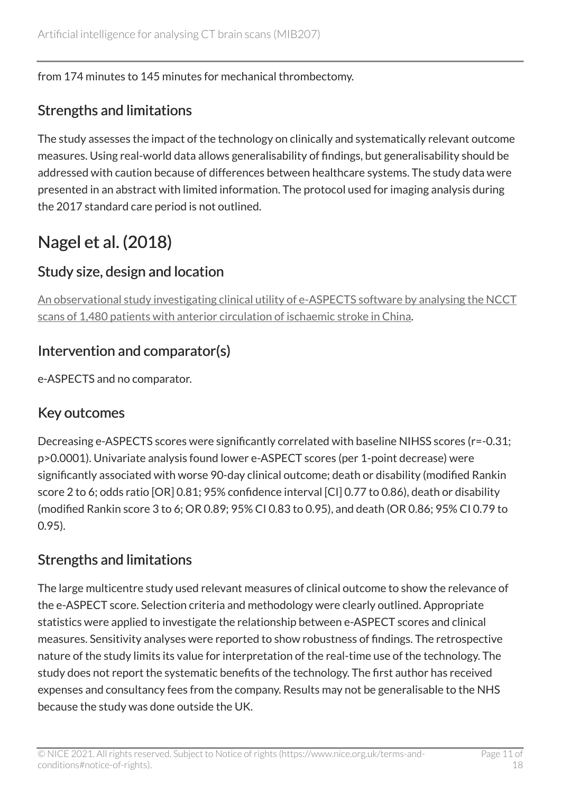#### from 174 minutes to 145 minutes for mechanical thrombectomy.

#### Strengths and limitations

The study assesses the impact of the technology on clinically and systematically relevant outcome measures. Using real-world data allows generalisability of findings, but generalisability should be addressed with caution because of differences between healthcare systems. The study data were presented in an abstract with limited information. The protocol used for imaging analysis during the 2017 standard care period is not outlined.

### Nagel et al. (2018)

#### Study size, design and location

[An observational study investigating clinical utility of e-ASPECTS software by analysing the NCCT](https://www.ncbi.nlm.nih.gov/pubmed/29777016)  [scans of 1,480 patients with anterior circulation of ischaemic stroke in China](https://www.ncbi.nlm.nih.gov/pubmed/29777016).

#### Intervention and comparator(s)

e-ASPECTS and no comparator.

#### Key outcomes

Decreasing e-ASPECTS scores were significantly correlated with baseline NIHSS scores (r=-0.31; p>0.0001). Univariate analysis found lower e-ASPECT scores (per 1-point decrease) were significantly associated with worse 90-day clinical outcome; death or disability (modified Rankin score 2 to 6; odds ratio [OR] 0.81; 95% confidence interval [CI] 0.77 to 0.86), death or disability (modified Rankin score 3 to 6; OR 0.89; 95% CI 0.83 to 0.95), and death (OR 0.86; 95% CI 0.79 to 0.95).

#### Strengths and limitations

The large multicentre study used relevant measures of clinical outcome to show the relevance of the e-ASPECT score. Selection criteria and methodology were clearly outlined. Appropriate statistics were applied to investigate the relationship between e-ASPECT scores and clinical measures. Sensitivity analyses were reported to show robustness of findings. The retrospective nature of the study limits its value for interpretation of the real-time use of the technology. The study does not report the systematic benefits of the technology. The first author has received expenses and consultancy fees from the company. Results may not be generalisable to the NHS because the study was done outside the UK.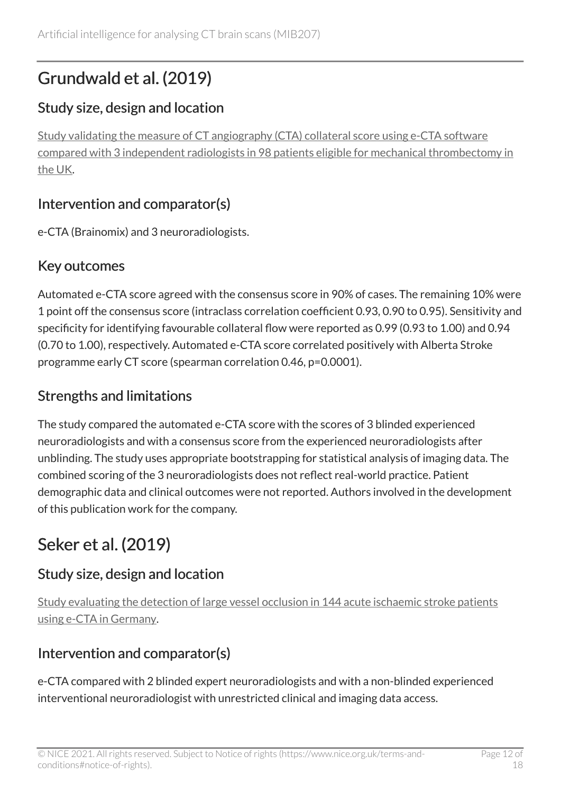### Grundwald et al. (2019)

#### Study size, design and location

[Study validating the measure of CT angiography \(CTA\) collateral score using e-CTA software](https://www.karger.com/Article/FullText/500076)  [compared with 3 independent radiologists in 98 patients eligible for mechanical thrombectomy in](https://www.karger.com/Article/FullText/500076)  [the UK.](https://www.karger.com/Article/FullText/500076)

#### Intervention and comparator(s)

e-CTA (Brainomix) and 3 neuroradiologists.

#### Key outcomes

Automated e-CTA score agreed with the consensus score in 90% of cases. The remaining 10% were 1 point off the consensus score (intraclass correlation coefficient 0.93, 0.90 to 0.95). Sensitivity and specificity for identifying favourable collateral flow were reported as 0.99 (0.93 to 1.00) and 0.94 (0.70 to 1.00), respectively. Automated e-CTA score correlated positively with Alberta Stroke programme early CT score (spearman correlation 0.46, p=0.0001).

#### Strengths and limitations

The study compared the automated e-CTA score with the scores of 3 blinded experienced neuroradiologists and with a consensus score from the experienced neuroradiologists after unblinding. The study uses appropriate bootstrapping for statistical analysis of imaging data. The combined scoring of the 3 neuroradiologists does not reflect real-world practice. Patient demographic data and clinical outcomes were not reported. Authors involved in the development of this publication work for the company.

### Seker et al. (2019)

#### Study size, design and location

[Study evaluating the detection of large vessel occlusion in 144 acute ischaemic stroke patients](https://journals.sagepub.com/doi/10.1177/2396987319845581)  [using e-CTA in Germany](https://journals.sagepub.com/doi/10.1177/2396987319845581).

#### Intervention and comparator(s)

e-CTA compared with 2 blinded expert neuroradiologists and with a non-blinded experienced interventional neuroradiologist with unrestricted clinical and imaging data access.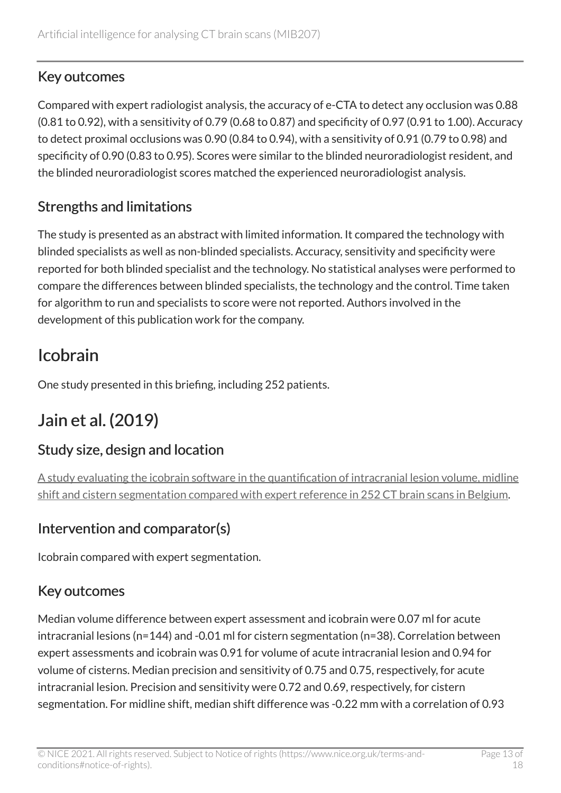#### Key outcomes

Compared with expert radiologist analysis, the accuracy of e-CTA to detect any occlusion was 0.88 (0.81 to 0.92), with a sensitivity of 0.79 (0.68 to 0.87) and specificity of 0.97 (0.91 to 1.00). Accuracy to detect proximal occlusions was 0.90 (0.84 to 0.94), with a sensitivity of 0.91 (0.79 to 0.98) and specificity of 0.90 (0.83 to 0.95). Scores were similar to the blinded neuroradiologist resident, and the blinded neuroradiologist scores matched the experienced neuroradiologist analysis.

#### Strengths and limitations

The study is presented as an abstract with limited information. It compared the technology with blinded specialists as well as non-blinded specialists. Accuracy, sensitivity and specificity were reported for both blinded specialist and the technology. No statistical analyses were performed to compare the differences between blinded specialists, the technology and the control. Time taken for algorithm to run and specialists to score were not reported. Authors involved in the development of this publication work for the company.

### Icobrain

One study presented in this briefing, including 252 patients.

### Jain et al. (2019)

#### Study size, design and location

[A study evaluating the icobrain software in the quantification of intracranial lesion volume, midline](https://www.liebertpub.com/doi/10.1089/neu.2018.6183)  [shift and cistern segmentation compared with expert reference in 252 CT brain scans in Belgium](https://www.liebertpub.com/doi/10.1089/neu.2018.6183).

#### Intervention and comparator(s)

Icobrain compared with expert segmentation.

### Key outcomes

Median volume difference between expert assessment and icobrain were 0.07 ml for acute intracranial lesions (n=144) and -0.01 ml for cistern segmentation (n=38). Correlation between expert assessments and icobrain was 0.91 for volume of acute intracranial lesion and 0.94 for volume of cisterns. Median precision and sensitivity of 0.75 and 0.75, respectively, for acute intracranial lesion. Precision and sensitivity were 0.72 and 0.69, respectively, for cistern segmentation. For midline shift, median shift difference was -0.22 mm with a correlation of 0.93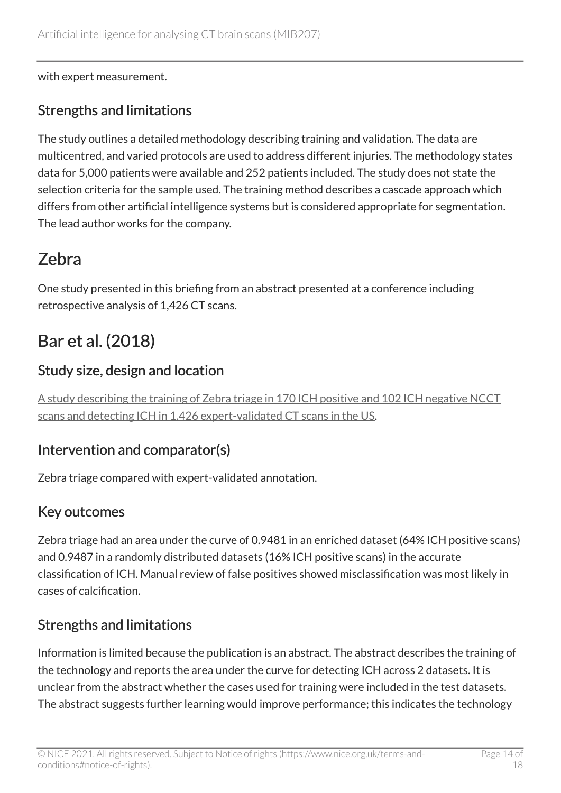with expert measurement.

#### Strengths and limitations

The study outlines a detailed methodology describing training and validation. The data are multicentred, and varied protocols are used to address different injuries. The methodology states data for 5,000 patients were available and 252 patients included. The study does not state the selection criteria for the sample used. The training method describes a cascade approach which differs from other artificial intelligence systems but is considered appropriate for segmentation. The lead author works for the company.

### Zebra

One study presented in this briefing from an abstract presented at a conference including retrospective analysis of 1,426 CT scans.

### Bar et al. (2018)

#### Study size, design and location

[A study describing the training of Zebra triage in 170 ICH positive and 102](https://www.zebra-med.com/research-publications/18paper1-bar) ICH negative NCCT [scans and detecting ICH in 1,426 expert-validated CT scans in the US.](https://www.zebra-med.com/research-publications/18paper1-bar)

#### Intervention and comparator(s)

Zebra triage compared with expert-validated annotation.

#### Key outcomes

Zebra triage had an area under the curve of 0.9481 in an enriched dataset (64% ICH positive scans) and 0.9487 in a randomly distributed datasets (16% ICH positive scans) in the accurate classification of ICH. Manual review of false positives showed misclassification was most likely in cases of calcification.

#### Strengths and limitations

Information is limited because the publication is an abstract. The abstract describes the training of the technology and reports the area under the curve for detecting ICH across 2 datasets. It is unclear from the abstract whether the cases used for training were included in the test datasets. The abstract suggests further learning would improve performance; this indicates the technology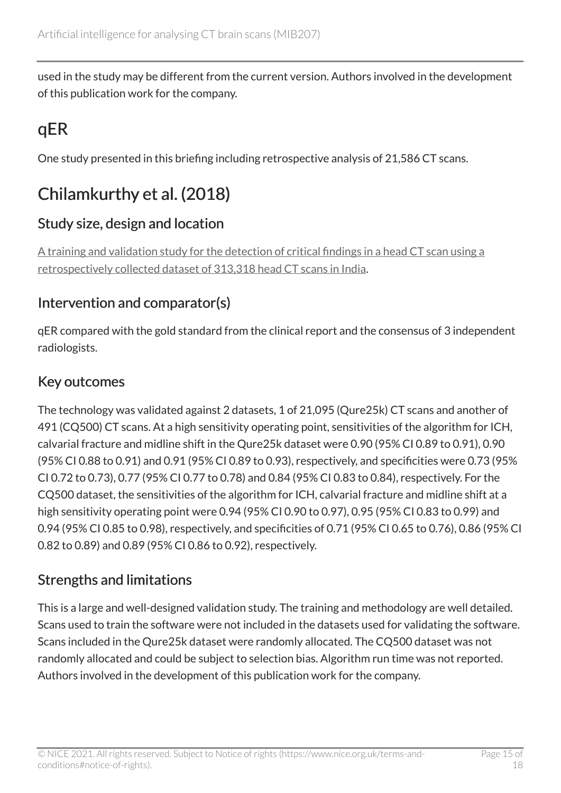used in the study may be different from the current version. Authors involved in the development of this publication work for the company.

### qER

One study presented in this briefing including retrospective analysis of 21,586 CT scans.

### Chilamkurthy et al. (2018)

#### Study size, design and location

[A training and validation study for the detection of critical findings in a head CT scan using a](https://www.sciencedirect.com/science/article/pii/S0140673618316453?via%3Dihub) [retrospectively collected dataset of 313,318 head CT scans in India.](https://www.sciencedirect.com/science/article/pii/S0140673618316453?via%3Dihub)

#### Intervention and comparator(s)

qER compared with the gold standard from the clinical report and the consensus of 3 independent radiologists.

#### Key outcomes

The technology was validated against 2 datasets, 1 of 21,095 (Qure25k) CT scans and another of 491 (CQ500) CT scans. At a high sensitivity operating point, sensitivities of the algorithm for ICH, calvarial fracture and midline shift in the Qure25k dataset were 0.90 (95% CI 0.89 to 0.91), 0.90 (95% CI 0.88 to 0.91) and 0.91 (95% CI 0.89 to 0.93), respectively, and specificities were 0.73 (95% CI 0.72 to 0.73), 0.77 (95% CI 0.77 to 0.78) and 0.84 (95% CI 0.83 to 0.84), respectively. For the CQ500 dataset, the sensitivities of the algorithm for ICH, calvarial fracture and midline shift at a high sensitivity operating point were 0.94 (95% CI 0.90 to 0.97), 0.95 (95% CI 0.83 to 0.99) and 0.94 (95% CI 0.85 to 0.98), respectively, and specificities of 0.71 (95% CI 0.65 to 0.76), 0.86 (95% CI 0.82 to 0.89) and 0.89 (95% CI 0.86 to 0.92), respectively.

#### Strengths and limitations

This is a large and well-designed validation study. The training and methodology are well detailed. Scans used to train the software were not included in the datasets used for validating the software. Scans included in the Qure25k dataset were randomly allocated. The CQ500 dataset was not randomly allocated and could be subject to selection bias. Algorithm run time was not reported. Authors involved in the development of this publication work for the company.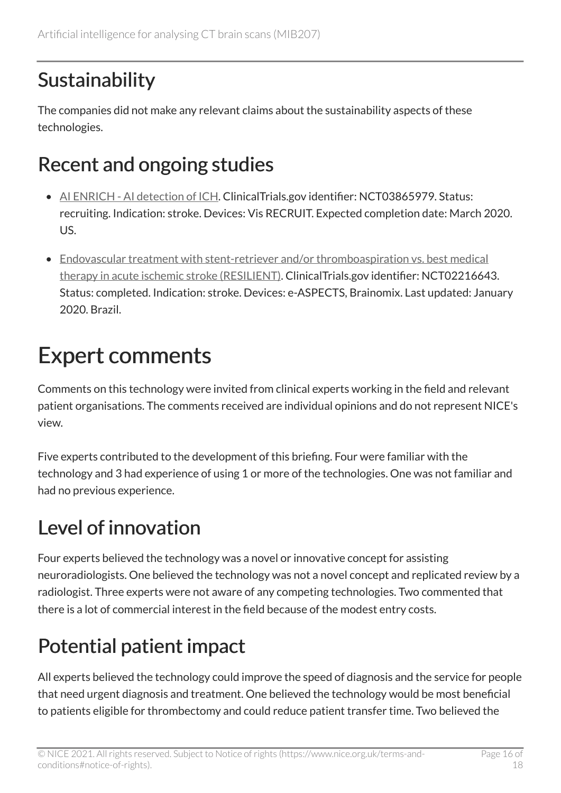## Sustainability

The companies did not make any relevant claims about the sustainability aspects of these technologies.

## Recent and ongoing studies

- [AI ENRICH AI detection of ICH.](https://clinicaltrials.gov/ct2/show/NCT03865979?term=ai+for+ct+head+scan&draw=1&rank=1) ClinicalTrials.gov identifier: NCT03865979. Status: recruiting. Indication: stroke. Devices: Vis RECRUIT. Expected completion date: March 2020. US.
- [Endovascular treatment with stent-retriever and/or thromboaspiration vs. best medical](https://clinicaltrials.gov/ct2/show/NCT02216643?term=resilient&cond=Stroke%2C+Acute&draw=2&rank=1) [therapy in acute ischemic stroke \(RESILIENT\)](https://clinicaltrials.gov/ct2/show/NCT02216643?term=resilient&cond=Stroke%2C+Acute&draw=2&rank=1). ClinicalTrials.gov identifier: NCT02216643. Status: completed. Indication: stroke. Devices: e-ASPECTS, Brainomix. Last updated: January 2020. Brazil.

## Expert comments

Comments on this technology were invited from clinical experts working in the field and relevant patient organisations. The comments received are individual opinions and do not represent NICE's view.

Five experts contributed to the development of this briefing. Four were familiar with the technology and 3 had experience of using 1 or more of the technologies. One was not familiar and had no previous experience.

## Level of innovation

Four experts believed the technology was a novel or innovative concept for assisting neuroradiologists. One believed the technology was not a novel concept and replicated review by a radiologist. Three experts were not aware of any competing technologies. Two commented that there is a lot of commercial interest in the field because of the modest entry costs.

## Potential patient impact

All experts believed the technology could improve the speed of diagnosis and the service for people that need urgent diagnosis and treatment. One believed the technology would be most beneficial to patients eligible for thrombectomy and could reduce patient transfer time. Two believed the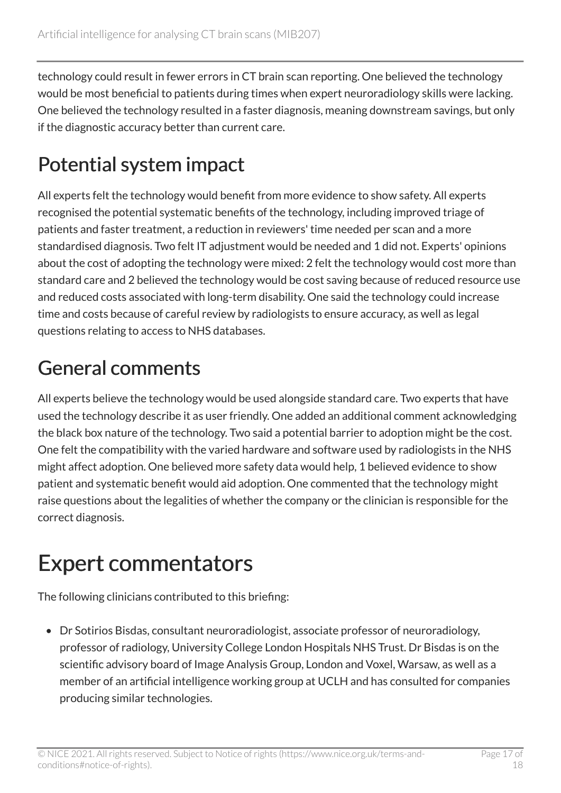technology could result in fewer errors in CT brain scan reporting. One believed the technology would be most beneficial to patients during times when expert neuroradiology skills were lacking. One believed the technology resulted in a faster diagnosis, meaning downstream savings, but only if the diagnostic accuracy better than current care.

## Potential system impact

All experts felt the technology would benefit from more evidence to show safety. All experts recognised the potential systematic benefits of the technology, including improved triage of patients and faster treatment, a reduction in reviewers' time needed per scan and a more standardised diagnosis. Two felt IT adjustment would be needed and 1 did not. Experts' opinions about the cost of adopting the technology were mixed: 2 felt the technology would cost more than standard care and 2 believed the technology would be cost saving because of reduced resource use and reduced costs associated with long-term disability. One said the technology could increase time and costs because of careful review by radiologists to ensure accuracy, as well as legal questions relating to access to NHS databases.

## General comments

All experts believe the technology would be used alongside standard care. Two experts that have used the technology describe it as user friendly. One added an additional comment acknowledging the black box nature of the technology. Two said a potential barrier to adoption might be the cost. One felt the compatibility with the varied hardware and software used by radiologists in the NHS might affect adoption. One believed more safety data would help, 1 believed evidence to show patient and systematic benefit would aid adoption. One commented that the technology might raise questions about the legalities of whether the company or the clinician is responsible for the correct diagnosis.

## Expert commentators

The following clinicians contributed to this briefing:

• Dr Sotirios Bisdas, consultant neuroradiologist, associate professor of neuroradiology, professor of radiology, University College London Hospitals NHS Trust. Dr Bisdas is on the scientific advisory board of Image Analysis Group, London and Voxel, Warsaw, as well as a member of an artificial intelligence working group at UCLH and has consulted for companies producing similar technologies.